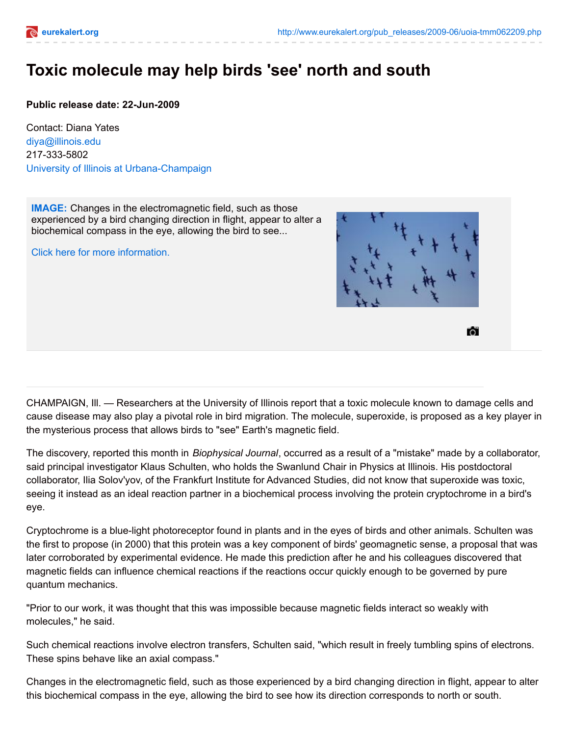

## **Toxic molecule may help birds 'see' north and south**

**Public release date: 22-Jun-2009**

Contact: Diana Yates [diya@illinois.edu](mailto:diya@illinois.edu) 217-333-5802 University of Illinois at [Urbana-Champaign](http://www.uiuc.edu/)

**[IMAGE:](http://www.eurekalert.org/multimedia/pub/14807.php?from=139380)** Changes in the electromagnetic field, such as those experienced by a bird changing direction in flight, appear to alter a biochemical compass in the eye, allowing the bird to see...

Click here for more [information.](http://www.eurekalert.org/multimedia/pub/14807.php?from=139380)



61

CHAMPAIGN, Ill. — Researchers at the University of Illinois report that a toxic molecule known to damage cells and cause disease may also play a pivotal role in bird migration. The molecule, superoxide, is proposed as a key player in the mysterious process that allows birds to "see" Earth's magnetic field.

The discovery, reported this month in *Biophysical Journal*, occurred as a result of a "mistake" made by a collaborator, said principal investigator Klaus Schulten, who holds the Swanlund Chair in Physics at Illinois. His postdoctoral collaborator, Ilia Solov'yov, of the Frankfurt Institute for Advanced Studies, did not know that superoxide was toxic, seeing it instead as an ideal reaction partner in a biochemical process involving the protein cryptochrome in a bird's eye.

Cryptochrome is a blue-light photoreceptor found in plants and in the eyes of birds and other animals. Schulten was the first to propose (in 2000) that this protein was a key component of birds' geomagnetic sense, a proposal that was later corroborated by experimental evidence. He made this prediction after he and his colleagues discovered that magnetic fields can influence chemical reactions if the reactions occur quickly enough to be governed by pure quantum mechanics.

"Prior to our work, it was thought that this was impossible because magnetic fields interact so weakly with molecules," he said.

Such chemical reactions involve electron transfers, Schulten said, "which result in freely tumbling spins of electrons. These spins behave like an axial compass."

Changes in the electromagnetic field, such as those experienced by a bird changing direction in flight, appear to alter this biochemical compass in the eye, allowing the bird to see how its direction corresponds to north or south.